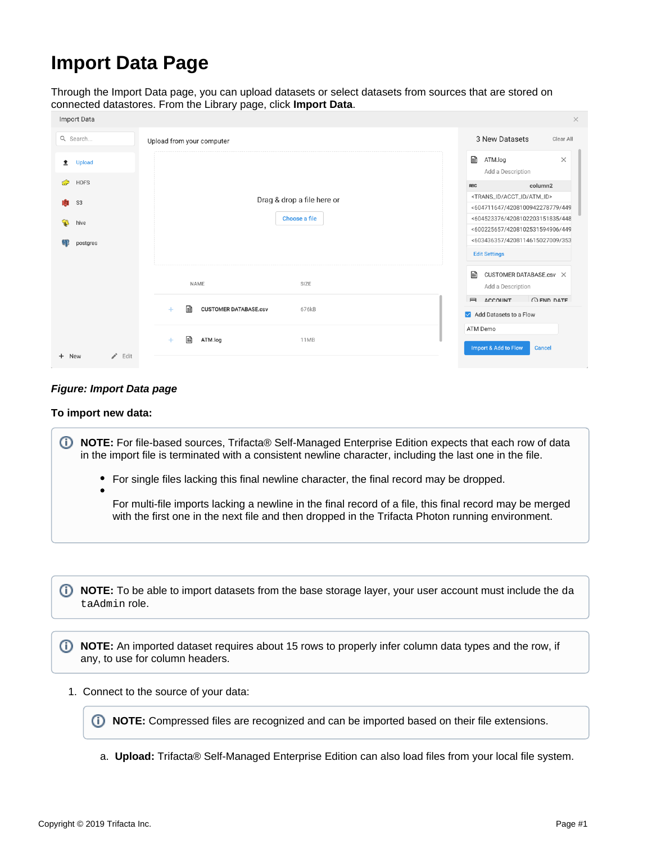# **Import Data Page**

Through the Import Data page, you can upload datasets or select datasets from sources that are stored on connected datastores. From the Library page, click **Import Data**.

| import Data             |                                                   | $\times$                                                                          |
|-------------------------|---------------------------------------------------|-----------------------------------------------------------------------------------|
| Q Search                | Upload from your computer                         | 3 New Datasets<br>Clear All                                                       |
| <b>Upload</b><br>土      |                                                   | ₽<br>ATM.log<br>$\times$<br>Add a Description                                     |
| <b>HDFS</b><br><b>P</b> |                                                   | column2<br>RBC                                                                    |
| Ñ.<br>S <sub>3</sub>    | Drag & drop a file here or<br>Choose a file       | <trans_id acct_id="" atm_id=""><br/>&lt;604711647/4208100942278779/449</trans_id> |
| ್ಪ<br>hive              |                                                   | <604523376/4208102203151835/448<br><600225657/4208102531594906/449                |
| postgres                |                                                   | <603436357/4208114615027009/353                                                   |
|                         |                                                   | <b>Edit Settings</b>                                                              |
|                         | NAME<br>SIZE                                      | n<br>CUSTOMER DATABASE.csv X<br>Add a Description                                 |
|                         | H<br><b>CUSTOMER DATABASE.csv</b><br>676kB<br>$+$ | <b>OFND DATE</b><br>$\blacksquare$<br><b>ACCOUNT</b><br>Add Datasets to a Flow    |
|                         | h<br>ATM.log<br>11MB<br>$+$                       | ATM Demo                                                                          |
| $\angle$ Edit<br>+ New  |                                                   | <b>Import &amp; Add to Flow</b><br><b>Cancel</b>                                  |
|                         |                                                   |                                                                                   |

## **Figure: Import Data page**

### **To import new data:**

**NOTE:** For file-based sources, Trifacta® Self-Managed Enterprise Edition expects that each row of data in the import file is terminated with a consistent newline character, including the last one in the file.

- $\bullet$ For single files lacking this final newline character, the final record may be dropped.
	- For multi-file imports lacking a newline in the final record of a file, this final record may be merged with the first one in the next file and then dropped in the Trifacta Photon running environment.

**1** NOTE: To be able to import datasets from the base storage layer, your user account must include the da taAdmin role.

**NOTE:** An imported dataset requires about 15 rows to properly infer column data types and the row, if any, to use for column headers.

1. Connect to the source of your data:

**NOTE:** Compressed files are recognized and can be imported based on their file extensions.

a. **Upload:** Trifacta® Self-Managed Enterprise Edition can also load files from your local file system.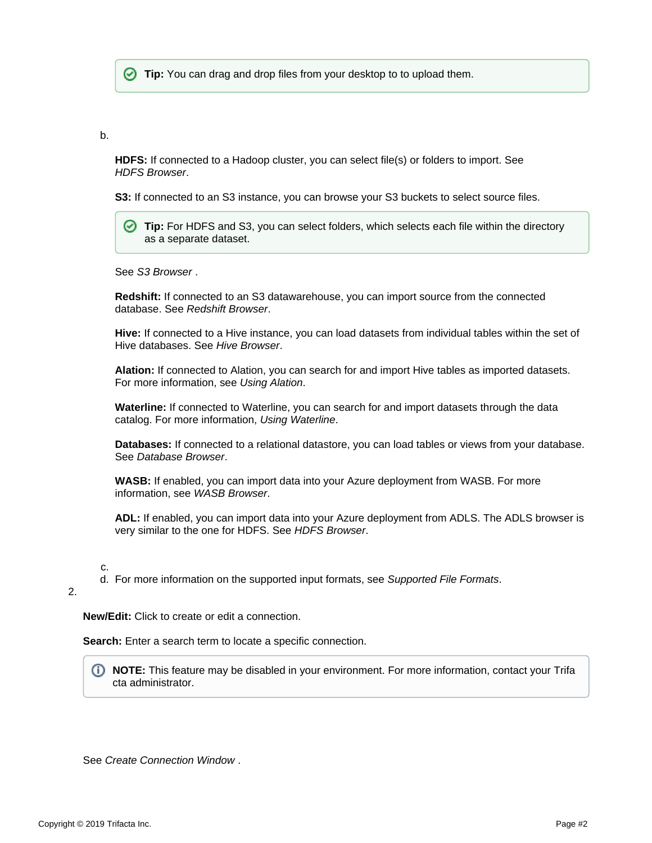**Tip:** You can drag and drop files from your desktop to to upload them.

b.

**HDFS:** If connected to a Hadoop cluster, you can select file(s) or folders to import. See [HDFS Browser](https://docs.trifacta.com/display/r060/HDFS+Browser).

**S3:** If connected to an S3 instance, you can browse your S3 buckets to select source files.

**Tip:** For HDFS and S3, you can select folders, which selects each file within the directory as a separate dataset.

See [S3 Browser](https://docs.trifacta.com/display/r060/S3+Browser) .

**Redshift:** If connected to an S3 datawarehouse, you can import source from the connected database. See [Redshift Browser](https://docs.trifacta.com/display/r060/Redshift+Browser).

**Hive:** If connected to a Hive instance, you can load datasets from individual tables within the set of Hive databases. See [Hive Browser](https://docs.trifacta.com/display/r060/Hive+Browser).

**Alation:** If connected to Alation, you can search for and import Hive tables as imported datasets. For more information, see [Using Alation](https://docs.trifacta.com/display/r060/Using+Alation).

**Waterline:** If connected to Waterline, you can search for and import datasets through the data catalog. For more information, [Using Waterline](https://docs.trifacta.com/display/r060/Using+Waterline).

**Databases:** If connected to a relational datastore, you can load tables or views from your database. See [Database Browser](https://docs.trifacta.com/display/r060/Database+Browser).

**WASB:** If enabled, you can import data into your Azure deployment from WASB. For more information, see [WASB Browser](https://docs.trifacta.com/display/r060/WASB+Browser).

**ADL:** If enabled, you can import data into your Azure deployment from ADLS. The ADLS browser is very similar to the one for HDFS. See [HDFS Browser](https://docs.trifacta.com/display/r060/HDFS+Browser).

c.

d. For more information on the supported input formats, see [Supported File Formats](https://docs.trifacta.com/display/r060/Supported+File+Formats).

#### 2.

**New/Edit:** Click to create or edit a connection.

**Search:** Enter a search term to locate a specific connection.

**NOTE:** This feature may be disabled in your environment. For more information, contact your Trifa cta administrator.

See [Create Connection Window](https://docs.trifacta.com/display/r060/Create+Connection+Window) .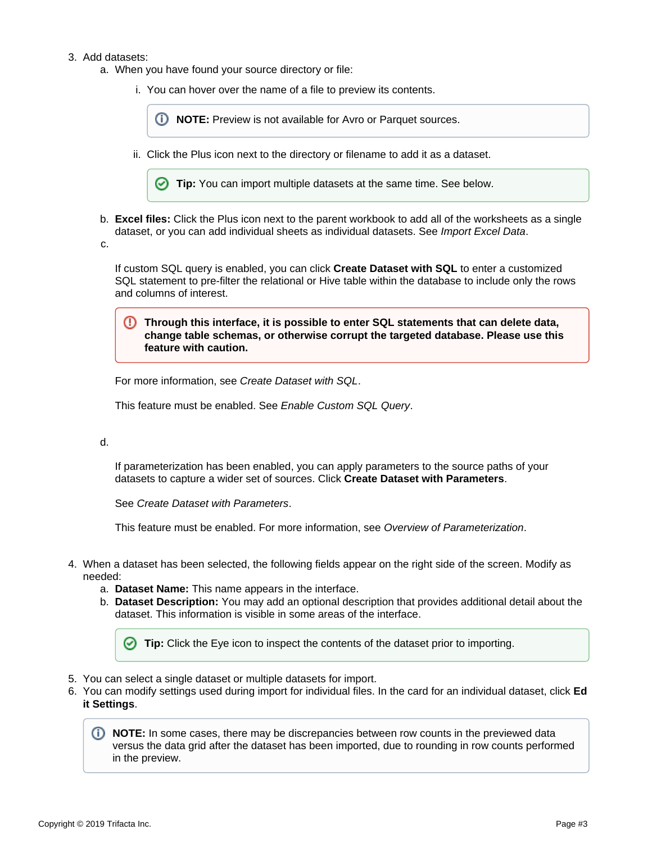#### 3. Add datasets:

- a. When you have found your source directory or file:
	- i. You can hover over the name of a file to preview its contents.

*I* NOTE: Preview is not available for Avro or Parquet sources.

ii. Click the Plus icon next to the directory or filename to add it as a dataset.



- b. **Excel files:** Click the Plus icon next to the parent workbook to add all of the worksheets as a single dataset, or you can add individual sheets as individual datasets. See [Import Excel Data](https://docs.trifacta.com/display/r060/Import+Excel+Data).
- c.

If custom SQL query is enabled, you can click **Create Dataset with SQL** to enter a customized SQL statement to pre-filter the relational or Hive table within the database to include only the rows and columns of interest.

**Through this interface, it is possible to enter SQL statements that can delete data, change table schemas, or otherwise corrupt the targeted database. Please use this feature with caution.**

For more information, see [Create Dataset with SQL](https://docs.trifacta.com/display/r060/Create+Dataset+with+SQL).

This feature must be enabled. See [Enable Custom SQL Query](https://docs.trifacta.com/display/r060/Enable+Custom+SQL+Query).

#### d.

If parameterization has been enabled, you can apply parameters to the source paths of your datasets to capture a wider set of sources. Click **Create Dataset with Parameters**.

See [Create Dataset with Parameters](https://docs.trifacta.com/display/r060/Create+Dataset+with+Parameters).

This feature must be enabled. For more information, see [Overview of Parameterization](https://docs.trifacta.com/display/r060/Overview+of+Parameterization).

- 4. When a dataset has been selected, the following fields appear on the right side of the screen. Modify as needed:
	- a. **Dataset Name:** This name appears in the interface.
	- b. **Dataset Description:** You may add an optional description that provides additional detail about the dataset. This information is visible in some areas of the interface.

**Tip:** Click the Eye icon to inspect the contents of the dataset prior to importing.

- 5. You can select a single dataset or multiple datasets for import.
- 6. You can modify settings used during import for individual files. In the card for an individual dataset, click **Ed it Settings**.

**NOTE:** In some cases, there may be discrepancies between row counts in the previewed data versus the data grid after the dataset has been imported, due to rounding in row counts performed in the preview.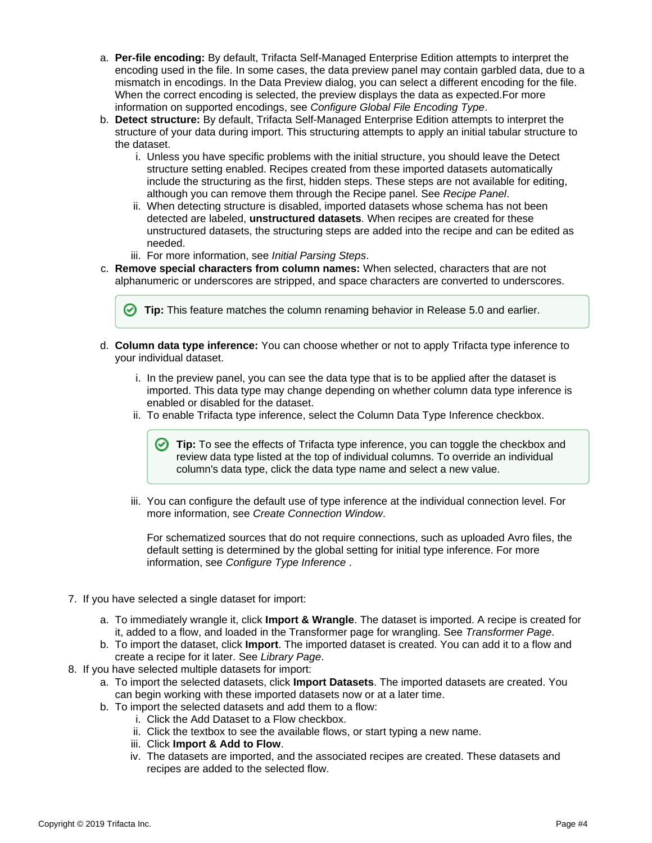- a. **Per-file encoding:** By default, Trifacta Self-Managed Enterprise Edition attempts to interpret the encoding used in the file. In some cases, the data preview panel may contain garbled data, due to a mismatch in encodings. In the Data Preview dialog, you can select a different encoding for the file. When the correct encoding is selected, the preview displays the data as expected.For more information on supported encodings, see [Configure Global File Encoding Type](https://docs.trifacta.com/display/r060/Configure+Global+File+Encoding+Type).
- b. **Detect structure:** By default, Trifacta Self-Managed Enterprise Edition attempts to interpret the structure of your data during import. This structuring attempts to apply an initial tabular structure to the dataset.
	- i. Unless you have specific problems with the initial structure, you should leave the Detect structure setting enabled. Recipes created from these imported datasets automatically include the structuring as the first, hidden steps. These steps are not available for editing, although you can remove them through the Recipe panel. See [Recipe Panel](https://docs.trifacta.com/display/r060/Recipe+Panel).
	- ii. When detecting structure is disabled, imported datasets whose schema has not been detected are labeled, **unstructured datasets**. When recipes are created for these unstructured datasets, the structuring steps are added into the recipe and can be edited as needed.
	- iii. For more information, see [Initial Parsing Steps](https://docs.trifacta.com/display/r060/Initial+Parsing+Steps).
- c. **Remove special characters from column names:** When selected, characters that are not alphanumeric or underscores are stripped, and space characters are converted to underscores.

**Tip:** This feature matches the column renaming behavior in Release 5.0 and earlier.

- d. **Column data type inference:** You can choose whether or not to apply Trifacta type inference to your individual dataset.
	- i. In the preview panel, you can see the data type that is to be applied after the dataset is imported. This data type may change depending on whether column data type inference is enabled or disabled for the dataset.
	- ii. To enable Trifacta type inference, select the Column Data Type Inference checkbox.

**Tip:** To see the effects of Trifacta type inference, you can toggle the checkbox and review data type listed at the top of individual columns. To override an individual column's data type, click the data type name and select a new value.

iii. You can configure the default use of type inference at the individual connection level. For more information, see [Create Connection Window](https://docs.trifacta.com/display/r060/Create+Connection+Window).

For schematized sources that do not require connections, such as uploaded Avro files, the default setting is determined by the global setting for initial type inference. For more information, see [Configure Type Inference](https://docs.trifacta.com/display/r060/Configure+Type+Inference) .

- 7. If you have selected a single dataset for import:
	- a. To immediately wrangle it, click **Import & Wrangle**. The dataset is imported. A recipe is created for it, added to a flow, and loaded in the Transformer page for wrangling. See [Transformer Page](https://docs.trifacta.com/display/r060/Transformer+Page).
	- b. To import the dataset, click **Import**. The imported dataset is created. You can add it to a flow and create a recipe for it later. See [Library Page](https://docs.trifacta.com/display/r060/Library+Page).
- 8. If you have selected multiple datasets for import:
	- a. To import the selected datasets, click **Import Datasets**. The imported datasets are created. You can begin working with these imported datasets now or at a later time.
	- b. To import the selected datasets and add them to a flow:
		- i. Click the Add Dataset to a Flow checkbox.
		- ii. Click the textbox to see the available flows, or start typing a new name.
		- iii. Click **Import & Add to Flow**.
		- iv. The datasets are imported, and the associated recipes are created. These datasets and recipes are added to the selected flow.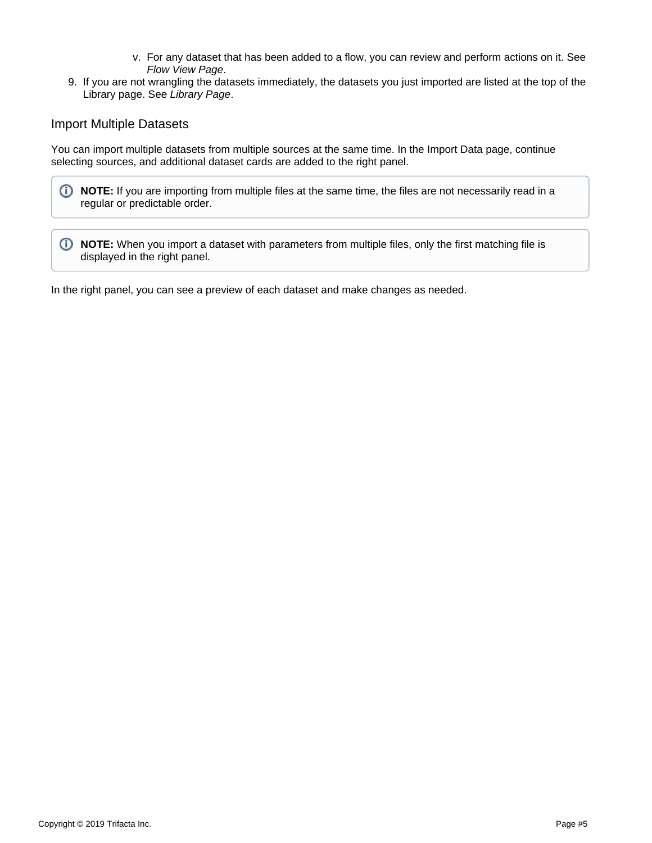- v. For any dataset that has been added to a flow, you can review and perform actions on it. See [Flow View Page](https://docs.trifacta.com/display/r060/Flow+View+Page).
- 9. If you are not wrangling the datasets immediately, the datasets you just imported are listed at the top of the Library page. See [Library Page](https://docs.trifacta.com/display/r060/Library+Page).

## Import Multiple Datasets

You can import multiple datasets from multiple sources at the same time. In the Import Data page, continue selecting sources, and additional dataset cards are added to the right panel.



**1** NOTE: When you import a dataset with parameters from multiple files, only the first matching file is displayed in the right panel.

In the right panel, you can see a preview of each dataset and make changes as needed.